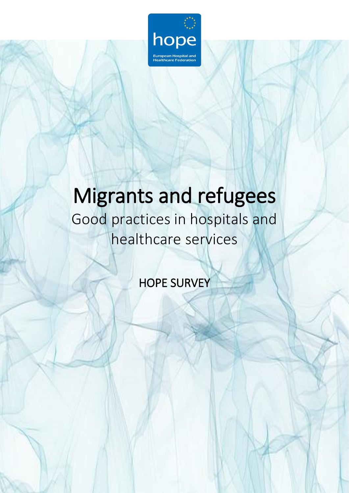

# Migrants and refugees

Good practices in hospitals and healthcare services

HOPE SURVEY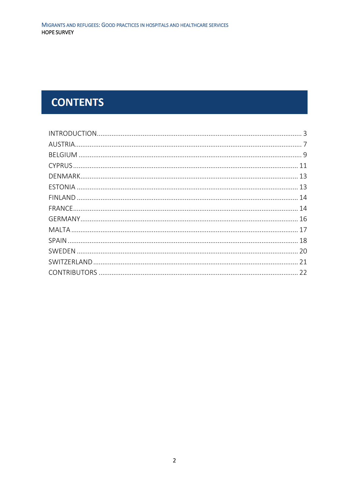# **CONTENTS**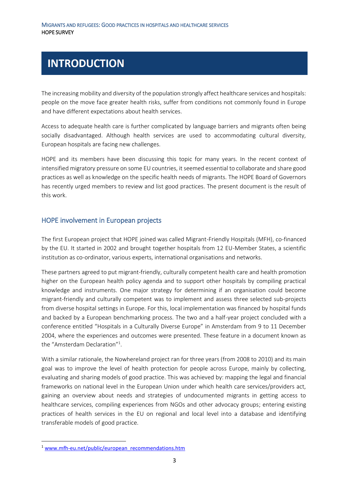### <span id="page-2-0"></span>**INTRODUCTION**

The increasing mobility and diversity of the population strongly affect healthcare services and hospitals: people on the move face greater health risks, suffer from conditions not commonly found in Europe and have different expectations about health services.

Access to adequate health care is further complicated by language barriers and migrants often being socially disadvantaged. Although health services are used to accommodating cultural diversity, European hospitals are facing new challenges.

HOPE and its members have been discussing this topic for many years. In the recent context of intensified migratory pressure on some EU countries, it seemed essential to collaborate and share good practices as well as knowledge on the specific health needs of migrants. The HOPE Board of Governors has recently urged members to review and list good practices. The present document is the result of this work.

#### HOPE involvement in European projects

The first European project that HOPE joined was called Migrant-Friendly Hospitals (MFH), co-financed by the EU. It started in 2002 and brought together hospitals from 12 EU-Member States, a scientific institution as co-ordinator, various experts, international organisations and networks.

These partners agreed to put migrant-friendly, culturally competent health care and health promotion higher on the European health policy agenda and to support other hospitals by compiling practical knowledge and instruments. One major strategy for determining if an organisation could become migrant-friendly and culturally competent was to implement and assess three selected sub-projects from diverse hospital settings in Europe. For this, local implementation was financed by hospital funds and backed by a European benchmarking process. The two and a half-year project concluded with a conference entitled "Hospitals in a Culturally Diverse Europe" in Amsterdam from 9 to 11 December 2004, where the experiences and outcomes were presented. These feature in a document known as the "Amsterdam Declaration"<sup>1</sup>.

With a similar rationale, the Nowhereland project ran for three years (from 2008 to 2010) and its main goal was to improve the level of health protection for people across Europe, mainly by collecting, evaluating and sharing models of good practice. This was achieved by: mapping the legal and financial frameworks on national level in the European Union under which health care services/providers act, gaining an overview about needs and strategies of undocumented migrants in getting access to healthcare services, compiling experiences from NGOs and other advocacy groups; entering existing practices of health services in the EU on regional and local level into a database and identifying transferable models of good practice.

1

<sup>&</sup>lt;sup>1</sup> [www.mfh-eu.net/public/european\\_recommendations.htm](http://www.mfh-eu.net/public/european_recommendations.htm)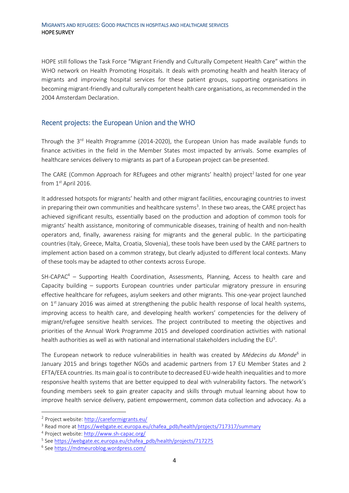HOPE still follows the Task Force "Migrant Friendly and Culturally Competent Health Care" within the WHO network on Health Promoting Hospitals. It deals with promoting health and health literacy of migrants and improving hospital services for these patient groups, supporting organisations in becoming migrant-friendly and culturally competent health care organisations, as recommended in the 2004 Amsterdam Declaration.

#### Recent projects: the European Union and the WHO

Through the 3<sup>rd</sup> Health Programme (2014-2020), the European Union has made available funds to finance activities in the field in the Member States most impacted by arrivals. Some examples of healthcare services delivery to migrants as part of a European project can be presented.

The CARE (Common Approach for REfugees and other migrants' health) project<sup>2</sup> lasted for one year from 1<sup>st</sup> April 2016.

It addressed hotspots for migrants' health and other migrant facilities, encouraging countries to invest in preparing their own communities and healthcare systems<sup>3</sup>. In these two areas, the CARE project has achieved significant results, essentially based on the production and adoption of common tools for migrants' health assistance, monitoring of communicable diseases, training of health and non-health operators and, finally, awareness raising for migrants and the general public. In the participating countries (Italy, Greece, Malta, Croatia, Slovenia), these tools have been used by the CARE partners to implement action based on a common strategy, but clearly adjusted to different local contexts. Many of these tools may be adapted to other contexts across Europe.

 $SH-CAPAC<sup>4</sup>$  – Supporting Health Coordination, Assessments, Planning, Access to health care and Capacity building – supports European countries under particular migratory pressure in ensuring effective healthcare for refugees, asylum seekers and other migrants. This one-year project launched on 1<sup>st</sup> January 2016 was aimed at strengthening the public health response of local health systems, improving access to health care, and developing health workers' competencies for the delivery of migrant/refugee sensitive health services. The project contributed to meeting the objectives and priorities of the Annual Work Programme 2015 and developed coordination activities with national health authorities as well as with national and international stakeholders including the EU<sup>5</sup>.

The European network to reduce vulnerabilities in health was created by *Médecins du Monde*<sup>6</sup> in January 2015 and brings together NGOs and academic partners from 17 EU Member States and 2 EFTA/EEA countries. Its main goal is to contribute to decreased EU-wide health inequalities and to more responsive health systems that are better equipped to deal with vulnerability factors. The network's founding members seek to gain greater capacity and skills through mutual learning about how to improve health service delivery, patient empowerment, common data collection and advocacy. As a

<sup>&</sup>lt;sup>2</sup> Project website: <http://careformigrants.eu/>

<sup>3</sup> Read more at [https://webgate.ec.europa.eu/chafea\\_pdb/health/projects/717317/summary](https://webgate.ec.europa.eu/chafea_pdb/health/projects/717317/summary)

<sup>4</sup> Project website:<http://www.sh-capac.org/>

<sup>&</sup>lt;sup>5</sup> See [https://webgate.ec.europa.eu/chafea\\_pdb/health/projects/717275](https://webgate.ec.europa.eu/chafea_pdb/health/projects/717275)

<sup>&</sup>lt;sup>6</sup> See<https://mdmeuroblog.wordpress.com/>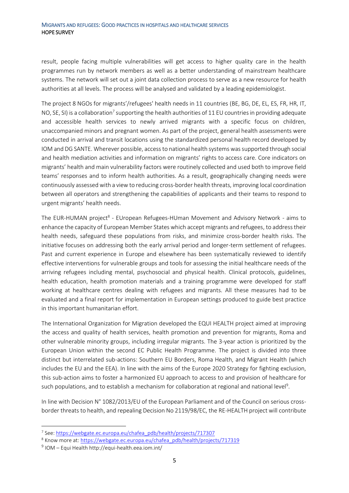result, people facing multiple vulnerabilities will get access to higher quality care in the health programmes run by network members as well as a better understanding of mainstream healthcare systems. The network will set out a joint data collection process to serve as a new resource for health authorities at all levels. The process will be analysed and validated by a leading epidemiologist.

The project 8 NGOs for migrants'/refugees' health needs in 11 countries (BE, BG, DE, EL, ES, FR, HR, IT, NO, SE, SI) is a collaboration<sup>7</sup> supporting the health authorities of 11 EU countries in providing adequate and accessible health services to newly arrived migrants with a specific focus on children, unaccompanied minors and pregnant women. As part of the project, general health assessments were conducted in arrival and transit locations using the standardized personal health record developed by IOM and DG SANTE. Wherever possible, access to national health systems was supported through social and health mediation activities and information on migrants' rights to access care. Core indicators on migrants' health and main vulnerability factors were routinely collected and used both to improve field teams' responses and to inform health authorities. As a result, geographically changing needs were continuously assessed with a view to reducing cross-border health threats, improving local coordination between all operators and strengthening the capabilities of applicants and their teams to respond to urgent migrants' health needs.

The EUR-HUMAN project<sup>8</sup> - EUropean Refugees-HUman Movement and Advisory Network - aims to enhance the capacity of European Member States which accept migrants and refugees, to address their health needs, safeguard these populations from risks, and minimize cross-border health risks. The initiative focuses on addressing both the early arrival period and longer-term settlement of refugees. Past and current experience in Europe and elsewhere has been systematically reviewed to identify effective interventions for vulnerable groups and tools for assessing the initial healthcare needs of the arriving refugees including mental, psychosocial and physical health. Clinical protocols, guidelines, health education, health promotion materials and a training programme were developed for staff working at healthcare centres dealing with refugees and migrants. All these measures had to be evaluated and a final report for implementation in European settings produced to guide best practice in this important humanitarian effort.

The International Organization for Migration developed the EQUI HEALTH project aimed at improving the access and quality of health services, health promotion and prevention for migrants, Roma and other vulnerable minority groups, including irregular migrants. The 3-year action is prioritized by the European Union within the second EC Public Health Programme. The project is divided into three distinct but interrelated sub-actions: Southern EU Borders, Roma Health, and Migrant Health (which includes the EU and the EEA). In line with the aims of the Europe 2020 Strategy for fighting exclusion, this sub-action aims to foster a harmonized EU approach to access to and provision of healthcare for such populations, and to establish a mechanism for collaboration at regional and national level<sup>9</sup>.

In line with Decision N° 1082/2013/EU of the European Parliament and of the Council on serious crossborder threats to health, and repealing Decision No 2119/98/EC, the RE-HEALTH project will contribute

<sup>&</sup>lt;sup>7</sup> See[: https://webgate.ec.europa.eu/chafea\\_pdb/health/projects/717307](https://webgate.ec.europa.eu/chafea_pdb/health/projects/717307)

<sup>&</sup>lt;sup>8</sup> Know more at: [https://webgate.ec.europa.eu/chafea\\_pdb/health/projects/717319](https://webgate.ec.europa.eu/chafea_pdb/health/projects/717319)

<sup>9</sup> IOM – Equi Health http://equi-health.eea.iom.int/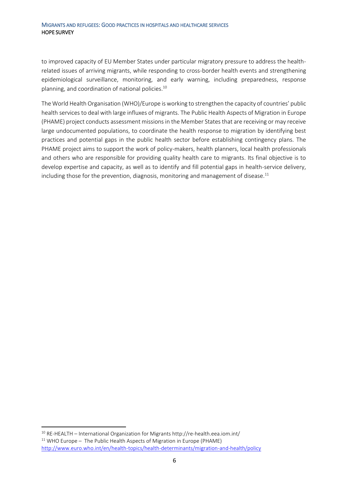to improved capacity of EU Member States under particular migratory pressure to address the healthrelated issues of arriving migrants, while responding to cross-border health events and strengthening epidemiological surveillance, monitoring, and early warning, including preparedness, response planning, and coordination of national policies.<sup>10</sup>

The World Health Organisation (WHO)/Europe is working to strengthen the capacity of countries' public health services to deal with large influxes of migrants. The Public Health Aspects of Migration in Europe (PHAME) project conducts assessment missions in the Member States that are receiving or may receive large undocumented populations, to coordinate the health response to migration by identifying best practices and potential gaps in the public health sector before establishing contingency plans. The PHAME project aims to support the work of policy-makers, health planners, local health professionals and others who are responsible for providing quality health care to migrants. Its final objective is to develop expertise and capacity, as well as to identify and fill potential gaps in health-service delivery, including those for the prevention, diagnosis, monitoring and management of disease. $^{11}$ 

<sup>10</sup> RE-HEALTH – International Organization for Migrants http://re-health.eea.iom.int/  $11$  WHO Europe - The Public Health Aspects of Migration in Europe (PHAME) <http://www.euro.who.int/en/health-topics/health-determinants/migration-and-health/policy>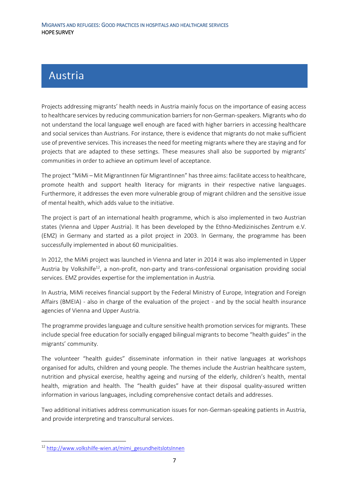### <span id="page-6-0"></span>**Austria**

Projects addressing migrants' health needs in Austria mainly focus on the importance of easing access to healthcare services by reducing communication barriers for non-German-speakers. Migrants who do not understand the local language well enough are faced with higher barriers in accessing healthcare and social services than Austrians. For instance, there is evidence that migrants do not make sufficient use of preventive services. This increases the need for meeting migrants where they are staying and for projects that are adapted to these settings. These measures shall also be supported by migrants' communities in order to achieve an optimum level of acceptance.

The project "MiMi – Mit MigrantInnen für MigrantInnen" has three aims: facilitate access to healthcare, promote health and support health literacy for migrants in their respective native languages. Furthermore, it addresses the even more vulnerable group of migrant children and the sensitive issue of mental health, which adds value to the initiative.

The project is part of an international health programme, which is also implemented in two Austrian states (Vienna and Upper Austria). It has been developed by the Ethno-Medizinisches Zentrum e.V. (EMZ) in Germany and started as a pilot project in 2003. In Germany, the programme has been successfully implemented in about 60 municipalities.

In 2012, the MiMi project was launched in Vienna and later in 2014 it was also implemented in Upper Austria by Volkshilfe<sup>12</sup>, a non-profit, non-party and trans-confessional organisation providing social services. EMZ provides expertise for the implementation in Austria.

In Austria, MiMi receives financial support by the Federal Ministry of Europe, Integration and Foreign Affairs (BMEIA) - also in charge of the evaluation of the project - and by the social health insurance agencies of Vienna and Upper Austria.

The programme provides language and culture sensitive health promotion services for migrants. These include special free education for socially engaged bilingual migrants to become "health guides" in the migrants' community.

The volunteer "health guides" disseminate information in their native languages at workshops organised for adults, children and young people. The themes include the Austrian healthcare system, nutrition and physical exercise, healthy ageing and nursing of the elderly, children's health, mental health, migration and health. The "health guides" have at their disposal quality-assured written information in various languages, including comprehensive contact details and addresses.

Two additional initiatives address communication issues for non-German-speaking patients in Austria, and provide interpreting and transcultural services.

1

<sup>12</sup> [http://www.volkshilfe-wien.at/mimi\\_gesundheitslotsInnen](http://www.volkshilfe-wien.at/mimi_gesundheitslotsInnen)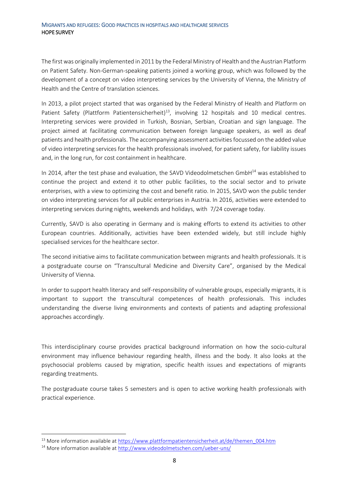The first was originally implemented in 2011 by the Federal Ministry of Health and the Austrian Platform on Patient Safety. Non-German-speaking patients joined a working group, which was followed by the development of a concept on video interpreting services by the University of Vienna, the Ministry of Health and the Centre of translation sciences.

In 2013, a pilot project started that was organised by the Federal Ministry of Health and Platform on Patient Safety (Plattform Patientensicherheit)<sup>13</sup>, involving 12 hospitals and 10 medical centres. Interpreting services were provided in Turkish, Bosnian, Serbian, Croatian and sign language. The project aimed at facilitating communication between foreign language speakers, as well as deaf patients and health professionals. The accompanying assessment activitiesfocussed on the added value of video interpreting services for the health professionals involved, for patient safety, for liability issues and, in the long run, for cost containment in healthcare.

In 2014, after the test phase and evaluation, the SAVD Videodolmetschen GmbH<sup>14</sup> was established to continue the project and extend it to other public facilities, to the social sector and to private enterprises, with a view to optimizing the cost and benefit ratio. In 2015, SAVD won the public tender on video interpreting services for all public enterprises in Austria. In 2016, activities were extended to interpreting services during nights, weekends and holidays, with 7/24 coverage today.

Currently, SAVD is also operating in Germany and is making efforts to extend its activities to other European countries. Additionally, activities have been extended widely, but still include highly specialised services for the healthcare sector.

The second initiative aims to facilitate communication between migrants and health professionals. It is a postgraduate course on "Transcultural Medicine and Diversity Care", organised by the Medical University of Vienna.

In order to support health literacy and self-responsibility of vulnerable groups, especially migrants, it is important to support the transcultural competences of health professionals. This includes understanding the diverse living environments and contexts of patients and adapting professional approaches accordingly.

This interdisciplinary course provides practical background information on how the socio-cultural environment may influence behaviour regarding health, illness and the body. It also looks at the psychosocial problems caused by migration, specific health issues and expectations of migrants regarding treatments.

The postgraduate course takes 5 semesters and is open to active working health professionals with practical experience.

<sup>&</sup>lt;sup>13</sup> More information available a[t https://www.plattformpatientensicherheit.at/de/themen\\_004.htm](https://www.plattformpatientensicherheit.at/de/themen_004.htm)

<sup>&</sup>lt;sup>14</sup> More information available a[t http://www.videodolmetschen.com/ueber-uns/](http://www.videodolmetschen.com/ueber-uns/)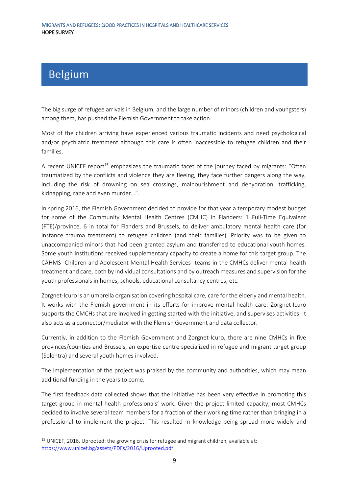## <span id="page-8-0"></span>**BELGIUM**

**.** 

The big surge of refugee arrivals in Belgium, and the large number of minors (children and youngsters) among them, has pushed the Flemish Government to take action.

Most of the children arriving have experienced various traumatic incidents and need psychological and/or psychiatric treatment although this care is often inaccessible to refugee children and their families.

A recent UNICEF report<sup>15</sup> emphasizes the traumatic facet of the journey faced by migrants: "Often traumatized by the conflicts and violence they are fleeing, they face further dangers along the way, including the risk of drowning on sea crossings, malnourishment and dehydration, trafficking, kidnapping, rape and even murder…".

In spring 2016, the Flemish Government decided to provide for that year a temporary modest budget for some of the Community Mental Health Centres (CMHC) in Flanders: 1 Full-Time Equivalent (FTE)/province, 6 in total for Flanders and Brussels, to deliver ambulatory mental health care (for instance trauma treatment) to refugee children (and their families). Priority was to be given to unaccompanied minors that had been granted asylum and transferred to educational youth homes. Some youth institutions received supplementary capacity to create a home for this target group. The CAHMS -Children and Adolescent Mental Health Services- teams in the CMHCs deliver mental health treatment and care, both by individual consultations and by outreach measures and supervision for the youth professionals in homes, schools, educational consultancy centres, etc.

Zorgnet-Icuro is an umbrella organisation covering hospital care, care for the elderly and mental health. It works with the Flemish government in its efforts for improve mental health care. Zorgnet-Icuro supports the CMCHs that are involved in getting started with the initiative, and supervises activities. It also acts as a connector/mediator with the Flemish Government and data collector.

Currently, in addition to the Flemish Government and Zorgnet-Icuro, there are nine CMHCs in five provinces/counties and Brussels, an expertise centre specialized in refugee and migrant target group (Solentra) and several youth homes involved.

The implementation of the project was praised by the community and authorities, which may mean additional funding in the years to come.

The first feedback data collected shows that the initiative has been very effective in promoting this target group in mental health professionals' work. Given the project limited capacity, most CMHCs decided to involve several team members for a fraction of their working time rather than bringing in a professional to implement the project. This resulted in knowledge being spread more widely and

 $15$  UNICEF, 2016, Uprooted: the growing crisis for refugee and migrant children, available at: <https://www.unicef.bg/assets/PDFs/2016/Uprooted.pdf>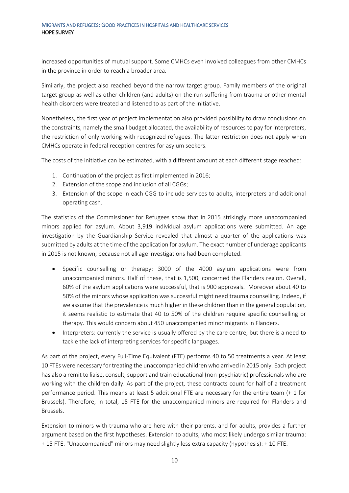increased opportunities of mutual support. Some CMHCs even involved colleagues from other CMHCs in the province in order to reach a broader area.

Similarly, the project also reached beyond the narrow target group. Family members of the original target group as well as other children (and adults) on the run suffering from trauma or other mental health disorders were treated and listened to as part of the initiative.

Nonetheless, the first year of project implementation also provided possibility to draw conclusions on the constraints, namely the small budget allocated, the availability of resources to pay for interpreters, the restriction of only working with recognized refugees. The latter restriction does not apply when CMHCs operate in federal reception centres for asylum seekers.

The costs of the initiative can be estimated, with a different amount at each different stage reached:

- 1. Continuation of the project as first implemented in 2016;
- 2. Extension of the scope and inclusion of all CGGs;
- 3. Extension of the scope in each CGG to include services to adults, interpreters and additional operating cash.

The statistics of the Commissioner for Refugees show that in 2015 strikingly more unaccompanied minors applied for asylum. About 3,919 individual asylum applications were submitted. An age investigation by the Guardianship Service revealed that almost a quarter of the applications was submitted by adults at the time of the application for asylum. The exact number of underage applicants in 2015 is not known, because not all age investigations had been completed.

- Specific counselling or therapy: 3000 of the 4000 asylum applications were from unaccompanied minors. Half of these, that is 1,500, concerned the Flanders region. Overall, 60% of the asylum applications were successful, that is 900 approvals. Moreover about 40 to 50% of the minors whose application was successful might need trauma counselling. Indeed, if we assume that the prevalence is much higher in these children than in the general population, it seems realistic to estimate that 40 to 50% of the children require specific counselling or therapy. This would concern about 450 unaccompanied minor migrants in Flanders.
- Interpreters: currently the service is usually offered by the care centre, but there is a need to tackle the lack of interpreting services for specific languages.

As part of the project, every Full-Time Equivalent (FTE) performs 40 to 50 treatments a year. At least 10 FTEs were necessary for treating the unaccompanied children who arrived in 2015 only. Each project has also a remit to liaise, consult, support and train educational (non-psychiatric) professionals who are working with the children daily. As part of the project, these contracts count for half of a treatment performance period. This means at least 5 additional FTE are necessary for the entire team (+ 1 for Brussels). Therefore, in total, 15 FTE for the unaccompanied minors are required for Flanders and Brussels.

Extension to minors with trauma who are here with their parents, and for adults, provides a further argument based on the first hypotheses. Extension to adults, who most likely undergo similar trauma: + 15 FTE. "Unaccompanied" minors may need slightly less extra capacity (hypothesis): + 10 FTE.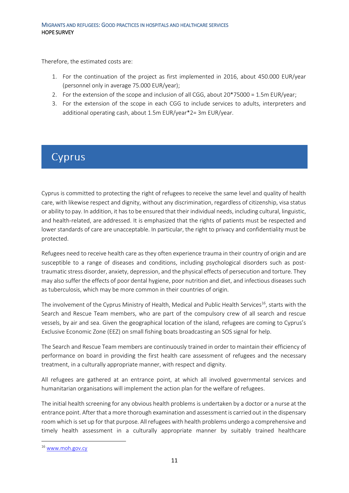Therefore, the estimated costs are:

- 1. For the continuation of the project as first implemented in 2016, about 450.000 EUR/year (personnel only in average 75.000 EUR/year);
- 2. For the extension of the scope and inclusion of all CGG, about 20\*75000 = 1.5m EUR/year;
- 3. For the extension of the scope in each CGG to include services to adults, interpreters and additional operating cash, about 1.5m EUR/year\*2= 3m EUR/year.

### <span id="page-10-0"></span>**CYPRUS**

Cyprus is committed to protecting the right of refugees to receive the same level and quality of health care, with likewise respect and dignity, without any discrimination, regardless of citizenship, visa status or ability to pay. In addition, it has to be ensured that their individual needs, including cultural, linguistic, and health-related, are addressed. It is emphasized that the rights of patients must be respected and lower standards of care are unacceptable. In particular, the right to privacy and confidentiality must be protected.

Refugees need to receive health care as they often experience trauma in their country of origin and are susceptible to a range of diseases and conditions, including psychological disorders such as posttraumatic stress disorder, anxiety, depression, and the physical effects of persecution and torture. They may also suffer the effects of poor dental hygiene, poor nutrition and diet, and infectious diseases such as tuberculosis, which may be more common in their countries of origin.

The involvement of the Cyprus Ministry of Health, Medical and Public Health Services<sup>16</sup>, starts with the Search and Rescue Team members, who are part of the compulsory crew of all search and rescue vessels, by air and sea. Given the geographical location of the island, refugees are coming to Cyprus's Exclusive Economic Zone (EEZ) on small fishing boats broadcasting an SOS signal for help.

The Search and Rescue Team members are continuously trained in order to maintain their efficiency of performance on board in providing the first health care assessment of refugees and the necessary treatment, in a culturally appropriate manner, with respect and dignity.

All refugees are gathered at an entrance point, at which all involved governmental services and humanitarian organisations will implement the action plan for the welfare of refugees.

The initial health screening for any obvious health problems is undertaken by a doctor or a nurse at the entrance point. After that a more thorough examination and assessment is carried out in the dispensary room which is set up for that purpose. All refugees with health problems undergo a comprehensive and timely health assessment in a culturally appropriate manner by suitably trained healthcare

1

<sup>16</sup> [www.moh.gov.cy](http://www.moh.gov.cy/)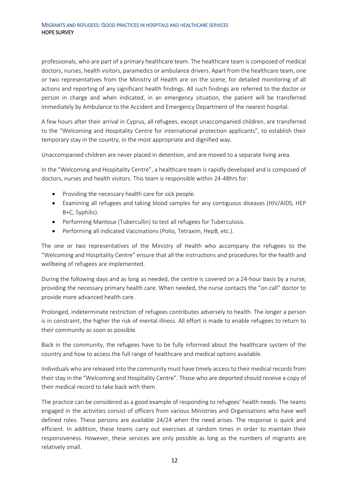professionals, who are part of a primary healthcare team. The healthcare team is composed of medical doctors, nurses, health visitors, paramedics or ambulance drivers. Apart from the healthcare team, one or two representatives from the Ministry of Health are on the scene, for detailed monitoring of all actions and reporting of any significant health findings. All such findings are referred to the doctor or person in charge and when indicated, in an emergency situation, the patient will be transferred immediately by Ambulance to the Accident and Emergency Department of the nearest hospital.

A few hours after their arrival in Cyprus, all refugees, except unaccompanied children, are transferred to the "Welcoming and Hospitality Centre for international protection applicants", to establish their temporary stay in the country, in the most appropriate and dignified way.

Unaccompanied children are never placed in detention, and are moved to a separate living area.

In the "Welcoming and Hospitality Centre", a healthcare team is rapidly developed and is composed of doctors, nurses and health visitors. This team is responsible within 24-48hrs for:

- Providing the necessary health care for sick people.
- Examining all refugees and taking blood samples for any contiguous diseases (HIV/AIDS, HEP B+C, Syphilis).
- Performing Mantoux (Tubercullin) to test all refugees for Tuberculosis.
- Performing all indicated Vaccinations (Polio, Tetraxim, HepB, etc.).

The one or two representatives of the Ministry of Health who accompany the refugees to the "Welcoming and Hospitality Centre" ensure that all the instructions and procedures for the health and wellbeing of refugees are implemented.

During the following days and as long as needed, the centre is covered on a 24-hour basis by a nurse, providing the necessary primary health care. When needed, the nurse contacts the "on call" doctor to provide more advanced health care.

Prolonged, indeterminate restriction of refugees contributes adversely to health. The longer a person is in constraint, the higher the risk of mental illness. All effort is made to enable refugees to return to their community as soon as possible.

Back in the community, the refugees have to be fully informed about the healthcare system of the country and how to access the full range of healthcare and medical options available.

Individuals who are released into the community must have timely access to their medical records from their stay in the "Welcoming and Hospitality Centre". Those who are deported should receive a copy of their medical record to take back with them.

The practice can be considered as a good example of responding to refugees' health needs. The teams engaged in the activities consist of officers from various Ministries and Organisations who have well defined roles. These persons are available 24/24 when the need arises. The response is quick and efficient. In addition, these teams carry out exercises at random times in order to maintain their responsiveness. However, these services are only possible as long as the numbers of migrants are relatively small.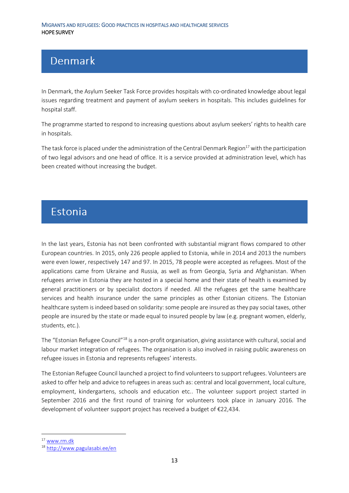### <span id="page-12-0"></span>Denmark

In Denmark, the Asylum Seeker Task Force provides hospitals with co-ordinated knowledge about legal issues regarding treatment and payment of asylum seekers in hospitals. This includes guidelines for hospital staff.

The programme started to respond to increasing questions about asylum seekers' rights to health care in hospitals.

The task force is placed under the administration of the Central Denmark Region<sup>17</sup> with the participation of two legal advisors and one head of office. It is a service provided at administration level, which has been created without increasing the budget.

### <span id="page-12-1"></span>**Estonia**

In the last years, Estonia has not been confronted with substantial migrant flows compared to other European countries. In 2015, only 226 people applied to Estonia, while in 2014 and 2013 the numbers were even lower, respectively 147 and 97. In 2015, 78 people were accepted as refugees. Most of the applications came from Ukraine and Russia, as well as from Georgia, Syria and Afghanistan. When refugees arrive in Estonia they are hosted in a special home and their state of health is examined by general practitioners or by specialist doctors if needed. All the refugees get the same healthcare services and health insurance under the same principles as other Estonian citizens. The Estonian healthcare system isindeed based on solidarity: some people are insured as they pay social taxes, other people are insured by the state or made equal to insured people by law (e.g. pregnant women, elderly, students, etc.).

The "Estonian Refugee Council"<sup>18</sup> is a non-profit organisation, giving assistance with cultural, social and labour market integration of refugees. The organisation is also involved in raising public awareness on refugee issues in Estonia and represents refugees' interests.

The Estonian Refugee Council launched a project to find volunteers to support refugees. Volunteers are asked to offer help and advice to refugees in areas such as: central and local government, local culture, employment, kindergartens, schools and education etc.. The volunteer support project started in September 2016 and the first round of training for volunteers took place in January 2016. The development of volunteer support project has received a budget of €22,434.

<sup>17</sup> [www.rm.dk](http://www.rm.dk/)

<sup>18</sup> <http://www.pagulasabi.ee/en>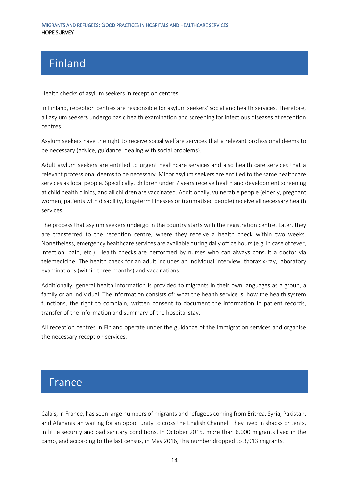# <span id="page-13-0"></span>**Finland**

Health checks of asylum seekers in reception centres.

In Finland, reception centres are responsible for asylum seekers' social and health services. Therefore, all asylum seekers undergo basic health examination and screening for infectious diseases at reception centres.

Asylum seekers have the right to receive social welfare services that a relevant professional deems to be necessary (advice, guidance, dealing with social problems).

Adult asylum seekers are entitled to urgent healthcare services and also health care services that a relevant professional deems to be necessary. Minor asylum seekers are entitled to the same healthcare services as local people. Specifically, children under 7 years receive health and development screening at child health clinics, and all children are vaccinated. Additionally, vulnerable people (elderly, pregnant women, patients with disability, long-term illnesses or traumatised people) receive all necessary health services.

The process that asylum seekers undergo in the country starts with the registration centre. Later, they are transferred to the reception centre, where they receive a health check within two weeks. Nonetheless, emergency healthcare services are available during daily office hours (e.g. in case of fever, infection, pain, etc.). Health checks are performed by nurses who can always consult a doctor via telemedicine. The health check for an adult includes an individual interview, thorax x-ray, laboratory examinations (within three months) and vaccinations.

Additionally, general health information is provided to migrants in their own languages as a group, a family or an individual. The information consists of: what the health service is, how the health system functions, the right to complain, written consent to document the information in patient records, transfer of the information and summary of the hospital stay.

All reception centres in Finland operate under the guidance of the Immigration services and organise the necessary reception services.

### <span id="page-13-1"></span>**France**

Calais, in France, has seen large numbers of migrants and refugees coming from Eritrea, Syria, Pakistan, and Afghanistan waiting for an opportunity to cross the English Channel. They lived in shacks or tents, in little security and bad sanitary conditions. In October 2015, more than 6,000 migrants lived in the camp, and according to the last census, in May 2016, this number dropped to 3,913 migrants.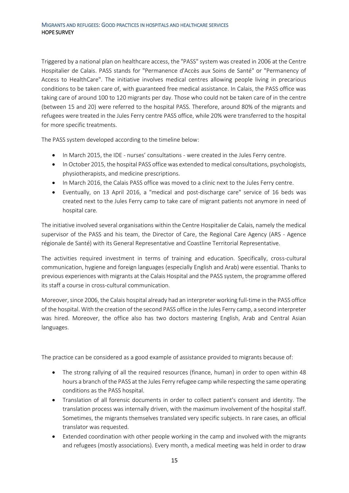Triggered by a national plan on healthcare access, the "PASS" system was created in 2006 at the Centre Hospitalier de Calais. PASS stands for "Permanence d'Accès aux Soins de Santé" or "Permanency of Access to HealthCare". The initiative involves medical centres allowing people living in precarious conditions to be taken care of, with guaranteed free medical assistance. In Calais, the PASS office was taking care of around 100 to 120 migrants per day. Those who could not be taken care of in the centre (between 15 and 20) were referred to the hospital PASS. Therefore, around 80% of the migrants and refugees were treated in the Jules Ferry centre PASS office, while 20% were transferred to the hospital for more specific treatments.

The PASS system developed according to the timeline below:

- In March 2015, the IDE nurses' consultations were created in the Jules Ferry centre.
- In October 2015, the hospital PASS office was extended to medical consultations, psychologists, physiotherapists, and medicine prescriptions.
- In March 2016, the Calais PASS office was moved to a clinic next to the Jules Ferry centre.
- Eventually, on 13 April 2016, a "medical and post-discharge care" service of 16 beds was created next to the Jules Ferry camp to take care of migrant patients not anymore in need of hospital care.

The initiative involved several organisations within the Centre Hospitalier de Calais, namely the medical supervisor of the PASS and his team, the Director of Care, the Regional Care Agency (ARS - Agence régionale de Santé) with its General Representative and Coastline Territorial Representative.

The activities required investment in terms of training and education. Specifically, cross-cultural communication, hygiene and foreign languages (especially English and Arab) were essential. Thanks to previous experiences with migrants at the Calais Hospital and the PASS system, the programme offered its staff a course in cross-cultural communication.

Moreover, since 2006, the Calais hospital already had an interpreter working full-time in the PASS office of the hospital. With the creation of the second PASS office in the Jules Ferry camp, a second interpreter was hired. Moreover, the office also has two doctors mastering English, Arab and Central Asian languages.

The practice can be considered as a good example of assistance provided to migrants because of:

- The strong rallying of all the required resources (finance, human) in order to open within 48 hours a branch of the PASS at the Jules Ferry refugee camp while respecting the same operating conditions as the PASS hospital.
- Translation of all forensic documents in order to collect patient's consent and identity. The translation process was internally driven, with the maximum involvement of the hospital staff. Sometimes, the migrants themselves translated very specific subjects. In rare cases, an official translator was requested.
- Extended coordination with other people working in the camp and involved with the migrants and refugees (mostly associations). Every month, a medical meeting was held in order to draw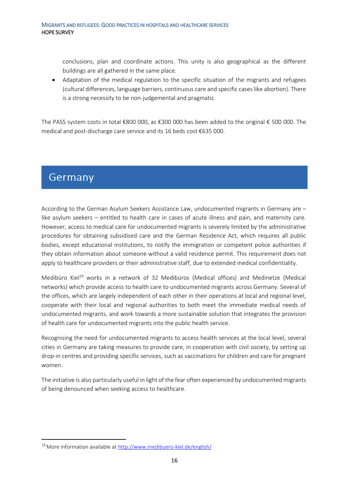conclusions, plan and coordinate actions. This unity is also geographical as the different buildings are all gathered in the same place.

• Adaptation of the medical regulation to the specific situation of the migrants and refugees (cultural differences, language barriers, continuous care and specific cases like abortion). There is a strong necessity to be non-judgemental and pragmatic.

The PASS system costs in total €800 000, as €300 000 has been added to the original € 500 000. The medical and post-discharge care service and its 16 beds cost €635 000.

### <span id="page-15-0"></span>**Germany**

**.** 

According to the German Asylum Seekers Assistance Law, undocumented migrants in Germany are – like asylum seekers – entitled to health care in cases of acute illness and pain, and maternity care. However, access to medical care for undocumented migrants is severely limited by the administrative procedures for obtaining subsidised care and the German Residence Act, which requires all public bodies, except educational institutions, to notify the immigration or competent police authorities if they obtain information about someone without a valid residence permit. This requirement does not apply to healthcare providers or their administrative staff, due to extended medical confidentiality.

Medibüro Kiel<sup>19</sup> works in a network of 32 Medibüros (Medical offices) and Medinetze (Medical networks) which provide access to health care to undocumented migrants across Germany. Several of the offices, which are largely independent of each other in their operations at local and regional level, cooperate with their local and regional authorities to both meet the immediate medical needs of undocumented migrants, and work towards a more sustainable solution that integrates the provision of health care for undocumented migrants into the public health service.

Recognising the need for undocumented migrants to access health services at the local level, several cities in Germany are taking measures to provide care, in cooperation with civil society, by setting up drop-in centres and providing specific services, such as vaccinations for children and care for pregnant women.

The initiative is also particularly useful in light of the fear often experienced by undocumented migrants of being denounced when seeking access to healthcare.

<sup>19</sup> More information available at <http://www.medibuero-kiel.de/english/>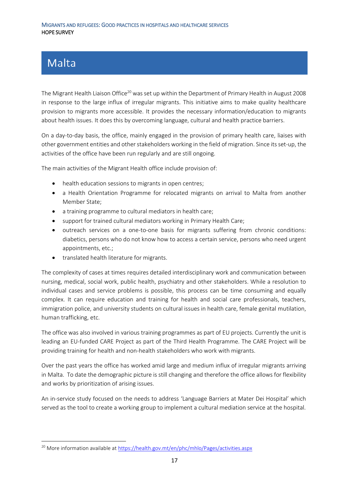### <span id="page-16-0"></span>**Malta**

1

The Migrant Health Liaison Office<sup>20</sup> was set up within the Department of Primary Health in August 2008 in response to the large influx of irregular migrants. This initiative aims to make quality healthcare provision to migrants more accessible. It provides the necessary information/education to migrants about health issues. It does this by overcoming language, cultural and health practice barriers.

On a day-to-day basis, the office, mainly engaged in the provision of primary health care, liaises with other government entities and other stakeholders working in the field of migration. Since its set-up, the activities of the office have been run regularly and are still ongoing.

The main activities of the Migrant Health office include provision of:

- health education sessions to migrants in open centres;
- a Health Orientation Programme for relocated migrants on arrival to Malta from another Member State;
- a training programme to cultural mediators in health care;
- support for trained cultural mediators working in Primary Health Care;
- outreach services on a one-to-one basis for migrants suffering from chronic conditions: diabetics, persons who do not know how to access a certain service, persons who need urgent appointments, etc.;
- translated health literature for migrants.

The complexity of cases at times requires detailed interdisciplinary work and communication between nursing, medical, social work, public health, psychiatry and other stakeholders. While a resolution to individual cases and service problems is possible, this process can be time consuming and equally complex. It can require education and training for health and social care professionals, teachers, immigration police, and university students on cultural issues in health care, female genital mutilation, human trafficking, etc.

The office was also involved in various training programmes as part of EU projects. Currently the unit is leading an EU-funded CARE Project as part of the Third Health Programme. The CARE Project will be providing training for health and non-health stakeholders who work with migrants.

Over the past years the office has worked amid large and medium influx of irregular migrants arriving in Malta. To date the demographic picture is still changing and therefore the office allows for flexibility and works by prioritization of arising issues.

An in-service study focused on the needs to address 'Language Barriers at Mater Dei Hospital' which served as the tool to create a working group to implement a cultural mediation service at the hospital.

<sup>&</sup>lt;sup>20</sup> More information available a[t https://health.gov.mt/en/phc/mhlo/Pages/activities.aspx](https://health.gov.mt/en/phc/mhlo/Pages/activities.aspx)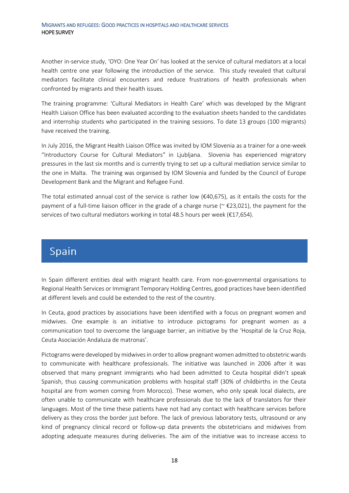Another in-service study, 'OYO: One Year On' has looked at the service of cultural mediators at a local health centre one year following the introduction of the service. This study revealed that cultural mediators facilitate clinical encounters and reduce frustrations of health professionals when confronted by migrants and their health issues.

The training programme: 'Cultural Mediators in Health Care' which was developed by the Migrant Health Liaison Office has been evaluated according to the evaluation sheets handed to the candidates and internship students who participated in the training sessions. To date 13 groups (100 migrants) have received the training.

In July 2016, the Migrant Health Liaison Office was invited by IOM Slovenia as a trainer for a one-week "Introductory Course for Cultural Mediators" in Ljubljana. Slovenia has experienced migratory pressures in the last six months and is currently trying to set up a cultural mediation service similar to the one in Malta. The training was organised by IOM Slovenia and funded by the Council of Europe Development Bank and the Migrant and Refugee Fund.

The total estimated annual cost of the service is rather low ( $\epsilon$ 40,675), as it entails the costs for the payment of a full-time liaison officer in the grade of a charge nurse ( $\leq$  £23,021), the payment for the services of two cultural mediators working in total 48.5 hours per week (€17,654).

### <span id="page-17-0"></span>Spain

In Spain different entities deal with migrant health care. From non-governmental organisations to Regional Health Services or Immigrant Temporary Holding Centres, good practices have been identified at different levels and could be extended to the rest of the country.

In Ceuta, good practices by associations have been identified with a focus on pregnant women and midwives. One example is an initiative to introduce pictograms for pregnant women as a communication tool to overcome the language barrier, an initiative by the 'Hospital de la Cruz Roja, Ceuta Asociación Andaluza de matronas'.

Pictograms were developed by midwives in order to allow pregnant women admitted to obstetric wards to communicate with healthcare professionals. The initiative was launched in 2006 after it was observed that many pregnant immigrants who had been admitted to Ceuta hospital didn't speak Spanish, thus causing communication problems with hospital staff (30% of childbirths in the Ceuta hospital are from women coming from Morocco). These women, who only speak local dialects, are often unable to communicate with healthcare professionals due to the lack of translators for their languages. Most of the time these patients have not had any contact with healthcare services before delivery as they cross the border just before. The lack of previous laboratory tests, ultrasound or any kind of pregnancy clinical record or follow-up data prevents the obstetricians and midwives from adopting adequate measures during deliveries. The aim of the initiative was to increase access to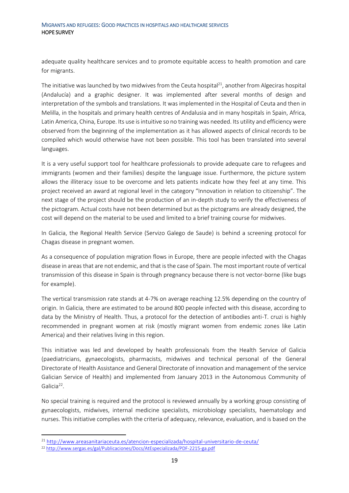adequate quality healthcare services and to promote equitable access to health promotion and care for migrants.

The initiative was launched by two midwives from the Ceuta hospital<sup>21</sup>, another from Algeciras hospital (Andalucía) and a graphic designer. It was implemented after several months of design and interpretation of the symbols and translations. It was implemented in the Hospital of Ceuta and then in Melilla, in the hospitals and primary health centres of Andalusia and in many hospitals in Spain, Africa, Latin America, China, Europe. Its use is intuitive so no training was needed. Its utility and efficiency were observed from the beginning of the implementation as it has allowed aspects of clinical records to be compiled which would otherwise have not been possible. This tool has been translated into several languages.

It is a very useful support tool for healthcare professionals to provide adequate care to refugees and immigrants (women and their families) despite the language issue. Furthermore, the picture system allows the illiteracy issue to be overcome and lets patients indicate how they feel at any time. This project received an award at regional level in the category "Innovation in relation to citizenship". The next stage of the project should be the production of an in-depth study to verify the effectiveness of the pictogram. Actual costs have not been determined but as the pictograms are already designed, the cost will depend on the material to be used and limited to a brief training course for midwives.

In Galicia, the Regional Health Service (Servizo Galego de Saude) is behind a screening protocol for Chagas disease in pregnant women.

As a consequence of population migration flows in Europe, there are people infected with the Chagas disease in areas that are not endemic, and that is the case of Spain. The most important route of vertical transmission of this disease in Spain is through pregnancy because there is not vector-borne (like bugs for example).

The vertical transmission rate stands at 4-7% on average reaching 12.5% depending on the country of origin. In Galicia, there are estimated to be around 800 people infected with this disease, according to data by the Ministry of Health. Thus, a protocol for the detection of antibodies anti-T. cruzi is highly recommended in pregnant women at risk (mostly migrant women from endemic zones like Latin America) and their relatives living in this region.

This initiative was led and developed by health professionals from the Health Service of Galicia (paediatricians, gynaecologists, pharmacists, midwives and technical personal of the General Directorate of Health Assistance and General Directorate of innovation and management of the service Galician Service of Health) and implemented from January 2013 in the Autonomous Community of Galicia<sup>22</sup>.

No special training is required and the protocol is reviewed annually by a working group consisting of gynaecologists, midwives, internal medicine specialists, microbiology specialists, haematology and nurses. This initiative complies with the criteria of adequacy, relevance, evaluation, and is based on the

<sup>21</sup> <http://www.areasanitariaceuta.es/atencion-especializada/hospital-universitario-de-ceuta/>

<sup>22</sup> <http://www.sergas.es/gal/Publicaciones/Docs/AtEspecializada/PDF-2215-ga.pdf>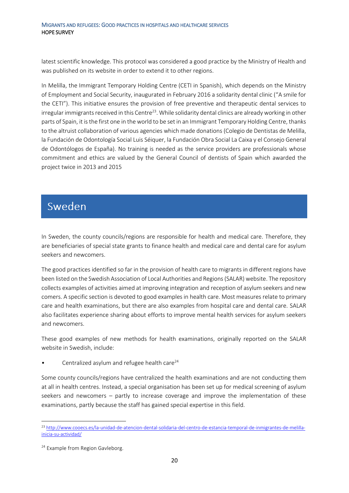latest scientific knowledge. This protocol was considered a good practice by the Ministry of Health and was published on its website in order to extend it to other regions.

In Melilla, the Immigrant Temporary Holding Centre (CETI in Spanish), which depends on the Ministry of Employment and Social Security, inaugurated in February 2016 a solidarity dental clinic ("A smile for the CETI"). This initiative ensures the provision of free preventive and therapeutic dental services to irregular immigrants received in this Centre<sup>23</sup>. While solidarity dental clinics are already working in other parts of Spain, it is the first one in the world to be set in an Immigrant Temporary Holding Centre, thanks to the altruist collaboration of various agencies which made donations (Colegio de Dentistas de Melilla, la Fundación de Odontología Social Luis Séiquer, la Fundación Obra Social La Caixa y el Consejo General de Odontólogos de España). No training is needed as the service providers are professionals whose commitment and ethics are valued by the General Council of dentists of Spain which awarded the project twice in 2013 and 2015

### <span id="page-19-0"></span>**Sweden**

In Sweden, the county councils/regions are responsible for health and medical care. Therefore, they are beneficiaries of special state grants to finance health and medical care and dental care for asylum seekers and newcomers.

The good practices identified so far in the provision of health care to migrants in different regions have been listed on the Swedish Association of Local Authorities and Regions (SALAR) website. The repository collects examples of activities aimed at improving integration and reception of asylum seekers and new comers. A specific section is devoted to good examples in health care. Most measures relate to primary care and health examinations, but there are also examples from hospital care and dental care. SALAR also facilitates experience sharing about efforts to improve mental health services for asylum seekers and newcomers.

These good examples of new methods for health examinations, originally reported on the SALAR website in Swedish, include:

Centralized asylum and refugee health care<sup>24</sup>

Some county councils/regions have centralized the health examinations and are not conducting them at all in health centres. Instead, a special organisation has been set up for medical screening of asylum seekers and newcomers – partly to increase coverage and improve the implementation of these examinations, partly because the staff has gained special expertise in this field.

**<sup>.</sup>** <sup>23</sup> [http://www.cooecs.es/la-unidad-de-atencion-dental-solidaria-del-centro-de-estancia-temporal-de-inmigrantes-de-melilla](http://www.cooecs.es/la-unidad-de-atencion-dental-solidaria-del-centro-de-estancia-temporal-de-inmigrantes-de-melilla-inicia-su-actividad/)[inicia-su-actividad/](http://www.cooecs.es/la-unidad-de-atencion-dental-solidaria-del-centro-de-estancia-temporal-de-inmigrantes-de-melilla-inicia-su-actividad/)

<sup>&</sup>lt;sup>24</sup> Example from Region Gavleborg.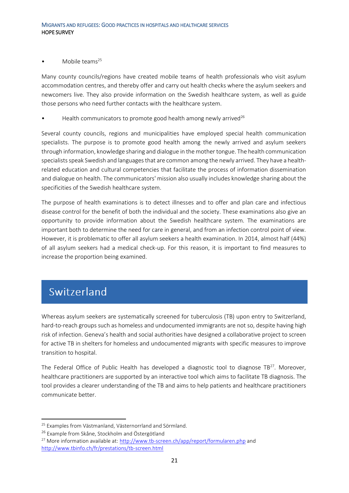#### Mobile teams<sup>25</sup>

Many county councils/regions have created mobile teams of health professionals who visit asylum accommodation centres, and thereby offer and carry out health checks where the asylum seekers and newcomers live. They also provide information on the Swedish healthcare system, as well as guide those persons who need further contacts with the healthcare system.

Health communicators to promote good health among newly arrived<sup>26</sup>

Several county councils, regions and municipalities have employed special health communication specialists. The purpose is to promote good health among the newly arrived and asylum seekers through information, knowledge sharing and dialogue in the mother tongue. The health communication specialists speak Swedish and languages that are common among the newly arrived. They have a healthrelated education and cultural competencies that facilitate the process of information dissemination and dialogue on health. The communicators' mission also usually includes knowledge sharing about the specificities of the Swedish healthcare system.

The purpose of health examinations is to detect illnesses and to offer and plan care and infectious disease control for the benefit of both the individual and the society. These examinations also give an opportunity to provide information about the Swedish healthcare system. The examinations are important both to determine the need for care in general, and from an infection control point of view. However, it is problematic to offer all asylum seekers a health examination. In 2014, almost half (44%) of all asylum seekers had a medical check-up. For this reason, it is important to find measures to increase the proportion being examined.

## <span id="page-20-0"></span>Switzerland

**.** 

Whereas asylum seekers are systematically screened for tuberculosis (TB) upon entry to Switzerland, hard-to-reach groups such as homeless and undocumented immigrants are not so, despite having high risk of infection. Geneva's health and social authorities have designed a collaborative project to screen for active TB in shelters for homeless and undocumented migrants with specific measures to improve transition to hospital.

The Federal Office of Public Health has developed a diagnostic tool to diagnose  $TB^{27}$ . Moreover, healthcare practitioners are supported by an interactive tool which aims to facilitate TB diagnosis. The tool provides a clearer understanding of the TB and aims to help patients and healthcare practitioners communicate better.

<sup>&</sup>lt;sup>25</sup> Examples from Västmanland, Västernorrland and Sörmland.

<sup>&</sup>lt;sup>26</sup> Example from Skåne, Stockholm and Östergötland

<sup>&</sup>lt;sup>27</sup> More information available at:<http://www.tb-screen.ch/app/report/formularen.php> and <http://www.tbinfo.ch/fr/prestations/tb-screen.html>